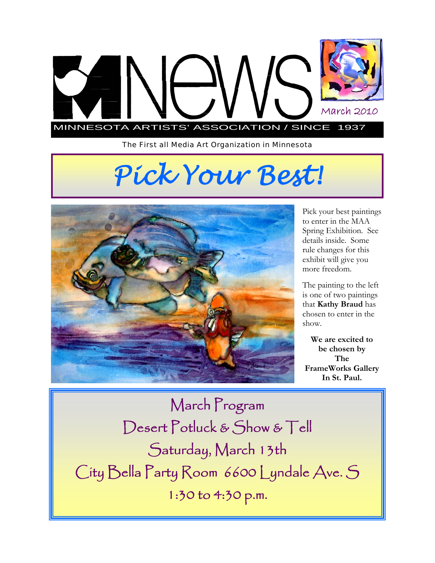

*The First all Media Art Organization in Minnesota* 

# *Pick Your Best!*



Pick your best paintings to enter in the MAA Spring Exhibition. See details inside. Some rule changes for this exhibit will give you more freedom.

The painting to the left is one of two paintings that **Kathy Braud** has chosen to enter in the show.

**We are excited to be chosen by The FrameWorks Gallery In St. Paul.** 

March Program Desert Potluck & Show & Tell Saturday, March 13th City Bella Party Room 6600 Lyndale Ave. S 1:30 to 4:30 p.m.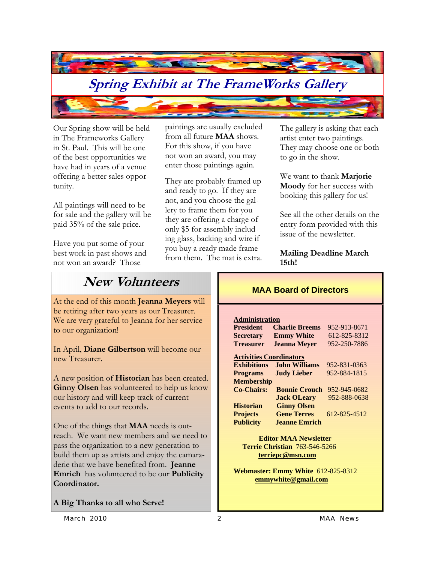

Our Spring show will be held in The Frameworks Gallery in St. Paul. This will be one of the best opportunities we have had in years of a venue offering a better sales opportunity.

All paintings will need to be for sale and the gallery will be paid 35% of the sale price.

Have you put some of your best work in past shows and not won an award? Those

paintings are usually excluded from all future **MAA** shows. For this show, if you have not won an award, you may enter those paintings again.

They are probably framed up and ready to go. If they are not, and you choose the gallery to frame them for you they are offering a charge of only \$5 for assembly including glass, backing and wire if you buy a ready made frame from them. The mat is extra. The gallery is asking that each artist enter two paintings. They may choose one or both to go in the show.

We want to thank **Marjorie Moody** for her success with booking this gallery for us!

See all the other details on the entry form provided with this issue of the newsletter.

#### **Mailing Deadline March 15th!**

### **New Volunteers**

At the end of this month **Jeanna Meyers** will be retiring after two years as our Treasurer. We are very grateful to Jeanna for her service to our organization!

In April, **Diane Gilbertson** will become our new Treasurer.

A new position of **Historian** has been created. **Ginny Olsen** has volunteered to help us know our history and will keep track of current events to add to our records.

One of the things that **MAA** needs is outreach. We want new members and we need to pass the organization to a new generation to build them up as artists and enjoy the camaraderie that we have benefited from. **Jeanne Emrich** has volunteered to be our **Publicity Coordinator.** 

**A Big Thanks to all who Serve!** 

#### **MAA Board of Directors**

**Administration**

| <b>President</b>               | <b>Charlie Breems</b> | 952-913-8671 |
|--------------------------------|-----------------------|--------------|
| <b>Secretary</b>               | <b>Emmy White</b>     | 612-825-8312 |
| <b>Treasurer</b>               | <b>Jeanna Meyer</b>   | 952-250-7886 |
| <b>Activities Coordinators</b> |                       |              |
| <b>Exhibitions</b>             | John Williams         | 952-831-0363 |
| <b>Programs</b>                | <b>Judy Lieber</b>    | 952-884-1815 |
| <b>Membership</b>              |                       |              |
| <b>Co-Chairs:</b>              | <b>Bonnie Crouch</b>  | 952-945-0682 |
|                                | <b>Jack OLeary</b>    | 952-888-0638 |
| <b>Historian</b>               | <b>Ginny Olsen</b>    |              |
| <b>Projects</b>                | <b>Gene Terres</b>    | 612-825-4512 |
| <b>Publicity</b>               | <b>Jeanne Emrich</b>  |              |
|                                |                       |              |

 **Editor MAA Newsletter Terrie Christian** 763-546-5266 **terriepc@msn.com**

**Webmaster: Emmy White** 612-825-8312  **emmywhite@gmail.com**

*March 2010 2 MAA News*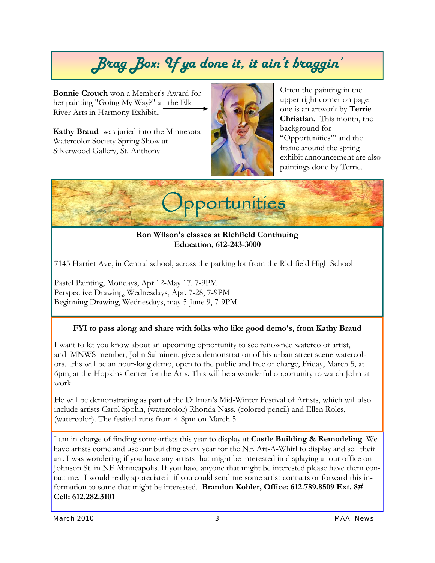## *Brag Box: If ya done it, it ain't braggin'*

**Bonnie Crouch** won a Member's Award for her painting "Going My Way?" at the Elk River Arts in Harmony Exhibit..

**Kathy Braud** was juried into the Minnesota Watercolor Society Spring Show at Silverwood Gallery, St. Anthony



Often the painting in the upper right corner on page one is an artwork by **Terrie Christian.** This month, the background for "Opportunities'" and the frame around the spring exhibit announcement are also paintings done by Terrie.



**Ron Wilson's classes at Richfield Continuing Education, 612-243-3000** 

7145 Harriet Ave, in Central school, across the parking lot from the Richfield High School

Pastel Painting, Mondays, Apr.12-May 17. 7-9PM Perspective Drawing, Wednesdays, Apr. 7-28, 7-9PM Beginning Drawing, Wednesdays, may 5-June 9, 7-9PM

#### **FYI to pass along and share with folks who like good demo's, from Kathy Braud**

I want to let you know about an upcoming opportunity to see renowned watercolor artist, and MNWS member, John Salminen, give a demonstration of his urban street scene watercolors. His will be an hour-long demo, open to the public and free of charge, Friday, March 5, at 6pm, at the Hopkins Center for the Arts. This will be a wonderful opportunity to watch John at work.

He will be demonstrating as part of the Dillman's Mid-Winter Festival of Artists, which will also include artists Carol Spohn, (watercolor) Rhonda Nass, (colored pencil) and Ellen Roles, (watercolor). The festival runs from 4-8pm on March 5.

I am in-charge of finding some artists this year to display at **Castle Building & Remodeling**. We have artists come and use our building every year for the NE Art-A-Whirl to display and sell their art. I was wondering if you have any artists that might be interested in displaying at our office on Johnson St. in NE Minneapolis. If you have anyone that might be interested please have them contact me. I would really appreciate it if you could send me some artist contacts or forward this information to some that might be interested. **Brandon Kohler, Office: 612.789.8509 Ext. 8# Cell: 612.282.3101**